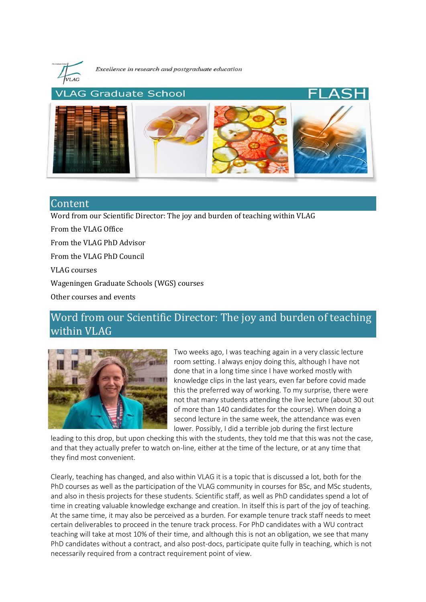

Excellence in research and postgraduate education



# Content

[Word from our Scientific Director: The joy and burden of teaching within VLAG](#page-0-0) 

[From the VLAG Office](#page-1-0)

[From the VLAG PhD Advisor](#page-2-0)

[From the VLAG PhD Council](#page-2-1)

[VLAG courses](#page-2-2)

[Wageningen Graduate Schools \(WGS\) courses](#page-3-0)

[Other courses and events](#page-3-1)

# <span id="page-0-0"></span>Word from our Scientific Director: The joy and burden of teaching within VLAG



Two weeks ago, I was teaching again in a very classic lecture room setting. I always enjoy doing this, although I have not done that in a long time since I have worked mostly with knowledge clips in the last years, even far before covid made this the preferred way of working. To my surprise, there were not that many students attending the live lecture (about 30 out of more than 140 candidates for the course). When doing a second lecture in the same week, the attendance was even lower. Possibly, I did a terrible job during the first lecture

leading to this drop, but upon checking this with the students, they told me that this was not the case, and that they actually prefer to watch on-line, either at the time of the lecture, or at any time that they find most convenient.

Clearly, teaching has changed, and also within VLAG it is a topic that is discussed a lot, both for the PhD courses as well as the participation of the VLAG community in courses for BSc, and MSc students, and also in thesis projects for these students. Scientific staff, as well as PhD candidates spend a lot of time in creating valuable knowledge exchange and creation. In itself this is part of the joy of teaching. At the same time, it may also be perceived as a burden. For example tenure track staff needs to meet certain deliverables to proceed in the tenure track process. For PhD candidates with a WU contract teaching will take at most 10% of their time, and although this is not an obligation, we see that many PhD candidates without a contract, and also post-docs, participate quite fully in teaching, which is not necessarily required from a contract requirement point of view.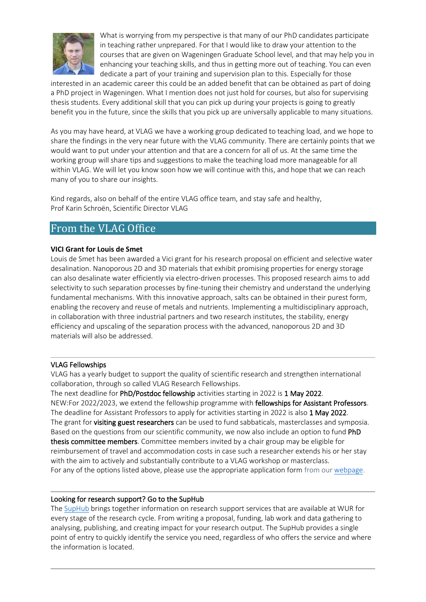

What is worrying from my perspective is that many of our PhD candidates participate in teaching rather unprepared. For that I would like to draw your attention to the courses that are given on Wageningen Graduate School level, and that may help you in enhancing your teaching skills, and thus in getting more out of teaching. You can even dedicate a part of your training and supervision plan to this. Especially for those

interested in an academic career this could be an added benefit that can be obtained as part of doing a PhD project in Wageningen. What I mention does not just hold for courses, but also for supervising thesis students. Every additional skill that you can pick up during your projects is going to greatly benefit you in the future, since the skills that you pick up are universally applicable to many situations.

As you may have heard, at VLAG we have a working group dedicated to teaching load, and we hope to share the findings in the very near future with the VLAG community. There are certainly points that we would want to put under your attention and that are a concern for all of us. At the same time the working group will share tips and suggestions to make the teaching load more manageable for all within VLAG. We will let you know soon how we will continue with this, and hope that we can reach many of you to share our insights.

Kind regards, also on behalf of the entire VLAG office team, and stay safe and healthy, Prof Karin Schroën, Scientific Director VLAG

# <span id="page-1-0"></span>From the VLAG Office

## **VICI Grant for Louis de Smet**

Louis de Smet has been awarded a Vici grant for his research proposal on efficient and selective water desalination. Nanoporous 2D and 3D materials that exhibit promising properties for energy storage can also desalinate water efficiently via electro-driven processes. This proposed research aims to add selectivity to such separation processes by fine-tuning their chemistry and understand the underlying fundamental mechanisms. With this innovative approach, salts can be obtained in their purest form, enabling the recovery and reuse of metals and nutrients. Implementing a multidisciplinary approach, in collaboration with three industrial partners and two research institutes, the stability, energy efficiency and upscaling of the separation process with the advanced, nanoporous 2D and 3D materials will also be addressed.

## VLAG Fellowships

VLAG has a yearly budget to support the quality of scientific research and strengthen international collaboration, through so called VLAG Research Fellowships.

The next deadline for PhD/Postdoc fellowship activities starting in 2022 is 1 May 2022. NEW:For 2022/2023, we extend the fellowship programme with fellowships for Assistant Professors. The deadline for Assistant Professors to apply for activities starting in 2022 is also 1 May 2022. The grant for **visiting guest researchers** can be used to fund sabbaticals, masterclasses and symposia. Based on the questions from our scientific community, we now also include an option to fund PhD thesis committee members. Committee members invited by a chair group may be eligible for reimbursement of travel and accommodation costs in case such a researcher extends his or her stay with the aim to actively and substantially contribute to a VLAG workshop or masterclass. For any of the options listed above, please use the appropriate application form from our [webpage.](https://www.vlaggraduateschool.nl/en/research-1/VLAG-Calls.htm)

## Looking for research support? Go to the SupHub

The [SupHub](https://suphub.wur.nl/suphub?_gl=1*1uafcd7*_ga*MjEyMDY1ODEwNC4xNjIyNTM0MjYw*_ga_M3YT587VEZ*MTY0OTMzNjYzMy41NDYuMS4xNjQ5MzM2Njg1LjA.) brings together information on research support services that are available at WUR for every stage of the research cycle. From writing a proposal, funding, lab work and data gathering to analysing, publishing, and creating impact for your research output. The SupHub provides a single point of entry to quickly identify the service you need, regardless of who offers the service and where the information is located.

 $\overline{\phantom{a}}$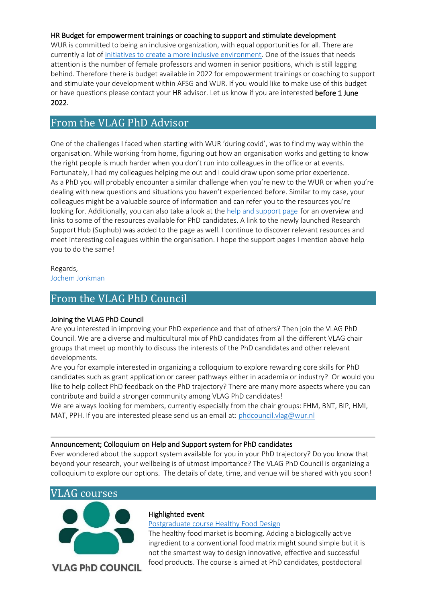#### HR Budget for empowerment trainings or coaching to support and stimulate development

WUR is committed to being an inclusive organization, with equal opportunities for all. There are currently a lot of [initiatives to create a more inclusive environment.](https://intranet.wur.nl/Project/GenderDiversity) One of the issues that needs attention is the number of female professors and women in senior positions, which is still lagging behind. Therefore there is budget available in 2022 for empowerment trainings or coaching to support and stimulate your development within AFSG and WUR. If you would like to make use of this budget or have questions please contact your HR advisor. Let us know if you are interested before 1 June 2022.

# <span id="page-2-0"></span>From the VLAG PhD Advisor

One of the challenges I faced when starting with WUR 'during covid', was to find my way within the organisation. While working from home, figuring out how an organisation works and getting to know the right people is much harder when you don't run into colleagues in the office or at events. Fortunately, I had my colleagues helping me out and I could draw upon some prior experience. As a PhD you will probably encounter a similar challenge when you're new to the WUR or when you're dealing with new questions and situations you haven't experienced before. Similar to my case, your colleagues might be a valuable source of information and can refer you to the resources you're looking for. Additionally, you can also take a look at the [help and support page](https://www.wur.nl/en/Education-Programmes/PhD-Programme/Help-and-support.htm) for an overview and links to some of the resources available for PhD candidates. A link to the newly launched Research Support Hub (Suphub) was added to the page as well. I continue to discover relevant resources and meet interesting colleagues within the organisation. I hope the support pages I mention above help you to do the same!

#### Regards,

<span id="page-2-1"></span>[Jochem Jonkman](mailto:jochem.jonkman@wur.nl)

# From the VLAG PhD Council

## Joining the VLAG PhD Council

Are you interested in improving your PhD experience and that of others? Then join the VLAG PhD Council. We are a diverse and multicultural mix of PhD candidates from all the different VLAG chair groups that meet up monthly to discuss the interests of the PhD candidates and other relevant developments.

Are you for example interested in organizing a colloquium to explore rewarding core skills for PhD candidates such as grant application or career pathways either in academia or industry? Or would you like to help collect PhD feedback on the PhD trajectory? There are many more aspects where you can contribute and build a stronger community among VLAG PhD candidates!

We are always looking for members, currently especially from the chair groups: FHM, BNT, BIP, HMI, MAT, PPH. If you are interested please send us an email at: [phdcouncil.vlag@wur.nl](mailto:phdcouncil.vlag@wur.nl)

#### Announcement; Colloquium on Help and Support system for PhD candidates

Ever wondered about the support system available for you in your PhD trajectory? Do you know that beyond your research, your wellbeing is of utmost importance? The VLAG PhD Council is organizing a colloquium to explore our options. The details of date, time, and venue will be shared with you soon!

# <span id="page-2-2"></span>VLAG courses



**VLAG PhD COUNCIL** 

#### Highlighted event

[Postgraduate course Healthy Food Design](https://www.vlaggraduateschool.nl/en/courses/course/HFD22.htm) 

The healthy food market is booming. Adding a biologically active ingredient to a conventional food matrix might sound simple but it is not the smartest way to design innovative, effective and successful food products. The course is aimed at PhD candidates, postdoctoral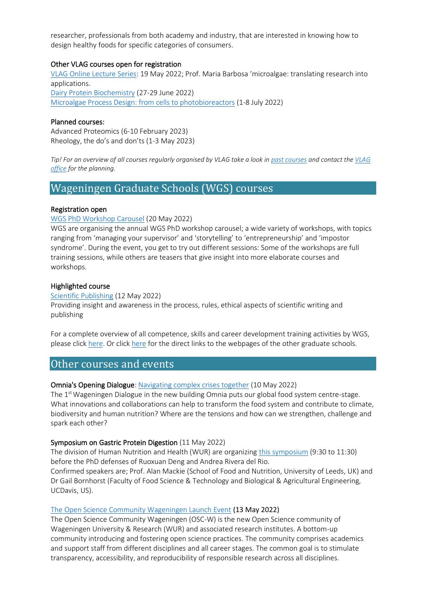researcher, professionals from both academy and industry, that are interested in knowing how to design healthy foods for specific categories of consumers.

#### Other VLAG courses open for registration

[VLAG Online Lecture Series](https://www.vlaggraduateschool.nl/en/courses/course/Online-Lecture-Series-2.htm): 19 May 2022; Prof. Maria Barbosa 'microalgae: translating research into applications. [Dairy Protein Biochemistry](https://www.vlaggraduateschool.nl/en/courses/course/DPB22.htm) (27-29 June 2022) [Microalgae Process Design: from cells to photobioreactors](https://www.vlaggraduateschool.nl/en/courses/course/MPD22.htm) (1-8 July 2022)

#### Planned courses:

Advanced Proteomics (6-10 February 2023) Rheology, the do's and don'ts (1-3 May 2023)

*Tip! For an overview of all courses regularly organised by VLAG take a look in [past courses](https://www.vlaggraduateschool.nl/en/courses/Scientific-courses/past_courses.htm) and contact the [VLAG](mailto:vlag@wur.nl)  [office](mailto:vlag@wur.nl) for the planning.*

# <span id="page-3-0"></span>Wageningen Graduate Schools (WGS) courses

#### Registration open

#### [WGS PhD Workshop Carousel](https://www.pe-rc.nl/node/22623) (20 May 2022)

WGS are organising the annual WGS PhD workshop carousel; a wide variety of workshops, with topics ranging from 'managing your supervisor' and 'storytelling' to 'entrepreneurship' and 'impostor syndrome'. During the event, you get to try out different sessions: Some of the workshops are full training sessions, while others are teasers that give insight into more elaborate courses and workshops.

#### Highlighted course

[Scientific Publishing](https://wgs.crs.wur.nl/courses/details/50) (12 May 2022) Providing insight and awareness in the process, rules, ethical aspects of scientific writing and publishing

For a complete overview of all competence, skills and career development training activities by WGS, please clic[k here.](https://eur03.safelinks.protection.outlook.com/?url=https%3A%2F%2Fwgs.crs.wur.nl%2F&data=04%7C01%7Cvlag%40wur.nl%7C8801fdaec24248612fb708d8dfd6fb8e%7C27d137e5761f4dc1af88d26430abb18f%7C0%7C0%7C637505461792122326%7CUnknown%7CTWFpbGZsb3d8eyJWIjoiMC4wLjAwMDAiLCJQIjoiV2luMzIiLCJBTiI6Ik1haWwiLCJXVCI6Mn0%3D%7C1000&sdata=hnF2puwRqZB3G4BfugCi%2BOBY%2Bc%2FUBPwmM9hvhAgqzNc%3D&reserved=0) Or click [here](https://www.vlaggraduateschool.nl/en/courses/External-courses.htm) for the direct links to the webpages of the other graduate schools.

# <span id="page-3-1"></span>Other courses and events

#### Omnia's Opening Dialogue[: Navigating complex crises together](https://event.wur.nl/openingdialogue-omnia?survey_id=133555&invitation_key=0ib40N6T-J9OOWfEGx468ChWaW52X2tleV92MgpwMApJMTMyOTM0Ckk3MzU2Mjg3CmNfY29kZWNzCmVuY29kZQpwMQooVpQiqhBMbIiLgMZruNpGcn4QLI7YlEUVaICy97OIZAV0CnAyClZsYXRpbjEKcDMKdHA0ClJwNQpOTk50cDYKLg..) (10 May 2022)

The  $1<sup>st</sup>$  Wageningen Dialogue in the new building Omnia puts our global food system centre-stage. What innovations and collaborations can help to transform the food system and contribute to climate, biodiversity and human nutrition? Where are the tensions and how can we strengthen, challenge and spark each other?

#### Symposium on Gastric Protein Digestion (11 May 2022)

The division of Human Nutrition and Health (WUR) are organizing this [symposium](https://forms.office.com/r/QZzwYF29r9) (9:30 to 11:30) before the PhD defenses of Ruoxuan Deng and Andrea Rivera del Rio. Confirmed speakers are; Prof. Alan Mackie (School of Food and Nutrition, University of Leeds, UK) and Dr Gail Bornhorst (Faculty of Food Science & Technology and Biological & Agricultural Engineering, UCDavis, US).

#### [The Open Science Community Wageningen Launch Event](https://openscience-wageningen.com/) (13 May 2022)

The Open Science Community Wageningen (OSC-W) is the new Open Science community of Wageningen University & Research (WUR) and associated research institutes. A bottom-up community introducing and fostering open science practices. The community comprises academics and support staff from different disciplines and all career stages. The common goal is to stimulate transparency, accessibility, and reproducibility of responsible research across all disciplines.